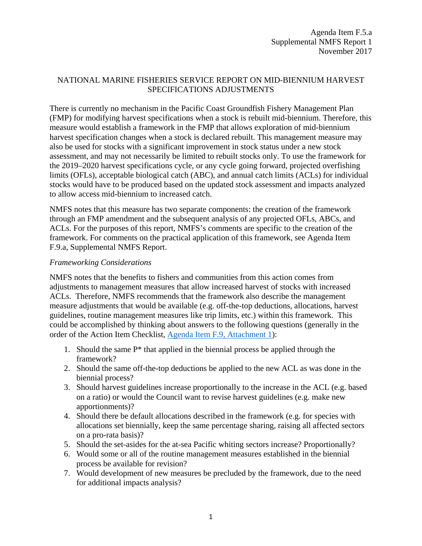# NATIONAL MARINE FISHERIES SERVICE REPORT ON MID-BIENNIUM HARVEST SPECIFICATIONS ADJUSTMENTS

There is currently no mechanism in the Pacific Coast Groundfish Fishery Management Plan (FMP) for modifying harvest specifications when a stock is rebuilt mid-biennium. Therefore, this measure would establish a framework in the FMP that allows exploration of mid-biennium harvest specification changes when a stock is declared rebuilt. This management measure may also be used for stocks with a significant improvement in stock status under a new stock assessment, and may not necessarily be limited to rebuilt stocks only. To use the framework for the 2019–2020 harvest specifications cycle, or any cycle going forward, projected overfishing limits (OFLs), acceptable biological catch (ABC), and annual catch limits (ACLs) for individual stocks would have to be produced based on the updated stock assessment and impacts analyzed to allow access mid-biennium to increased catch.

NMFS notes that this measure has two separate components: the creation of the framework through an FMP amendment and the subsequent analysis of any projected OFLs, ABCs, and ACLs. For the purposes of this report, NMFS's comments are specific to the creation of the framework. For comments on the practical application of this framework, see Agenda Item F.9.a, Supplemental NMFS Report.

### *Frameworking Considerations*

NMFS notes that the benefits to fishers and communities from this action comes from adjustments to management measures that allow increased harvest of stocks with increased ACLs. Therefore, NMFS recommends that the framework also describe the management measure adjustments that would be available (e.g. off-the-top deductions, allocations, harvest guidelines, routine management measures like trip limits, etc.) within this framework. This could be accomplished by thinking about answers to the following questions (generally in the order of the Action Item Checklist, [Agenda Item F.9, Attachment 1\)](http://www.pcouncil.org/wp-content/uploads/2017/10/F9_Att1_Checklist_NOV2017BB.pdf):

- 1. Should the same  $P^*$  that applied in the biennial process be applied through the framework?
- 2. Should the same off-the-top deductions be applied to the new ACL as was done in the biennial process?
- 3. Should harvest guidelines increase proportionally to the increase in the ACL (e.g. based on a ratio) or would the Council want to revise harvest guidelines (e.g. make new apportionments)?
- 4. Should there be default allocations described in the framework (e.g. for species with allocations set biennially, keep the same percentage sharing, raising all affected sectors on a pro-rata basis)?
- 5. Should the set-asides for the at-sea Pacific whiting sectors increase? Proportionally?
- 6. Would some or all of the routine management measures established in the biennial process be available for revision?
- 7. Would development of new measures be precluded by the framework, due to the need for additional impacts analysis?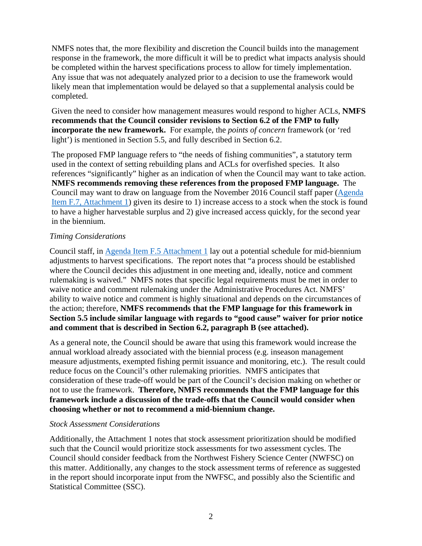NMFS notes that, the more flexibility and discretion the Council builds into the management response in the framework, the more difficult it will be to predict what impacts analysis should be completed within the harvest specifications process to allow for timely implementation. Any issue that was not adequately analyzed prior to a decision to use the framework would likely mean that implementation would be delayed so that a supplemental analysis could be completed.

Given the need to consider how management measures would respond to higher ACLs, **NMFS recommends that the Council consider revisions to Section 6.2 of the FMP to fully incorporate the new framework.** For example, the *points of concern* framework (or 'red light') is mentioned in Section 5.5, and fully described in Section 6.2.

The proposed FMP language refers to "the needs of fishing communities", a statutory term used in the context of setting rebuilding plans and ACLs for overfished species. It also references "significantly" higher as an indication of when the Council may want to take action. **NMFS recommends removing these references from the proposed FMP language.** The Council may want to draw on language from the November 2016 Council staff paper [\(Agenda](http://www.pcouncil.org/wp-content/uploads/2016/10/F7_Att1_GreenLightPolicy_NOV2016BB.pdf)  [Item F.7, Attachment 1\)](http://www.pcouncil.org/wp-content/uploads/2016/10/F7_Att1_GreenLightPolicy_NOV2016BB.pdf) given its desire to 1) increase access to a stock when the stock is found to have a higher harvestable surplus and 2) give increased access quickly, for the second year in the biennium.

# *Timing Considerations*

Council staff, in [Agenda Item F.5 Attachment 1](http://www.pcouncil.org/wp-content/uploads/2017/10/F5_Att1_GreenLight_NOV2017BB.pdf) lay out a potential schedule for mid-biennium adjustments to harvest specifications. The report notes that "a process should be established where the Council decides this adjustment in one meeting and, ideally, notice and comment rulemaking is waived." NMFS notes that specific legal requirements must be met in order to waive notice and comment rulemaking under the Administrative Procedures Act. NMFS' ability to waive notice and comment is highly situational and depends on the circumstances of the action; therefore, **NMFS recommends that the FMP language for this framework in Section 5.5 include similar language with regards to "good cause" waiver for prior notice and comment that is described in Section 6.2, paragraph B (see attached).**

As a general note, the Council should be aware that using this framework would increase the annual workload already associated with the biennial process (e.g. inseason management measure adjustments, exempted fishing permit issuance and monitoring, etc.). The result could reduce focus on the Council's other rulemaking priorities. NMFS anticipates that consideration of these trade-off would be part of the Council's decision making on whether or not to use the framework. **Therefore, NMFS recommends that the FMP language for this framework include a discussion of the trade-offs that the Council would consider when choosing whether or not to recommend a mid-biennium change.**

#### *Stock Assessment Considerations*

Additionally, the Attachment 1 notes that stock assessment prioritization should be modified such that the Council would prioritize stock assessments for two assessment cycles. The Council should consider feedback from the Northwest Fishery Science Center (NWFSC) on this matter. Additionally, any changes to the stock assessment terms of reference as suggested in the report should incorporate input from the NWFSC, and possibly also the Scientific and Statistical Committee (SSC).